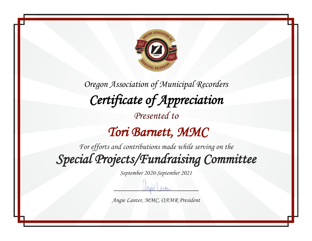

 *Tori Barnett, MMC* 

*For efforts and contributions made while serving on the Special Projects/Fundraising Committee* 

*September 2020-September 2021*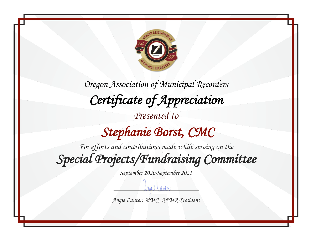

## *Stephanie Borst, CMC*

*For efforts and contributions made while serving on the Special Projects/Fundraising Committee* 

*September 2020-September 2021*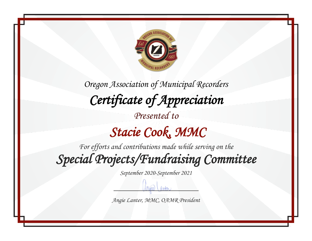

# *Stacie Cook, MMC*

*For efforts and contributions made while serving on the Special Projects/Fundraising Committee* 

*September 2020-September 2021*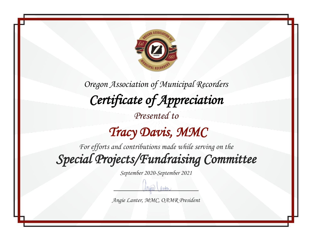

## *Tracy Davis, MMC*

*For efforts and contributions made while serving on the Special Projects/Fundraising Committee* 

*September 2020-September 2021*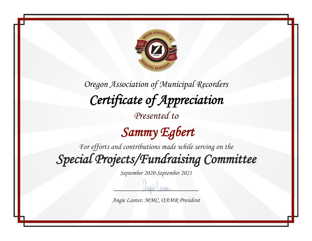

 *Sammy Egbert* 

*For efforts and contributions made while serving on the*

*Special Projects/Fundraising Committee* 

*September 2020-September 2021*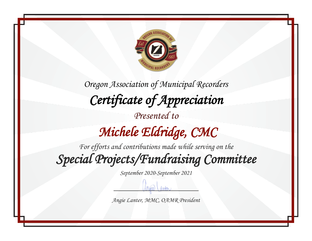

*Oregon Association of Municipal Recorders Certificate of Appreciation Presented to Michele Eldridge, CMC* 

*For efforts and contributions made while serving on the Special Projects/Fundraising Committee* 

*September 2020-September 2021*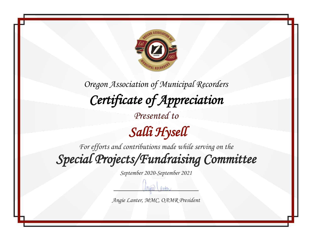

*For efforts and contributions made while serving on the*

*Special Projects/Fundraising Committee* 

*September 2020-September 2021*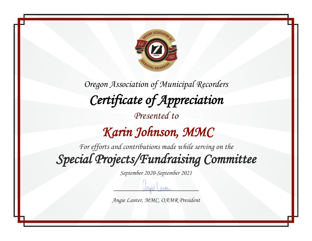

## *Karin Johnson, MMC*

*For efforts and contributions made while serving on the Special Projects/Fundraising Committee* 

*September 2020-September 2021*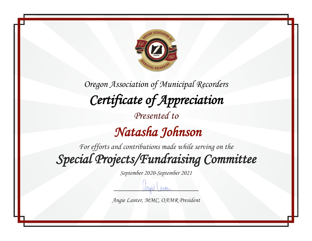

*For efforts and contributions made while serving on the Special Projects/Fundraising Committee* 

*September 2020-September 2021*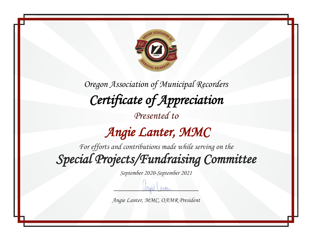

*Presented to*

## *Angie Lanter, MMC*

*For efforts and contributions made while serving on the Special Projects/Fundraising Committee* 

*September 2020-September 2021*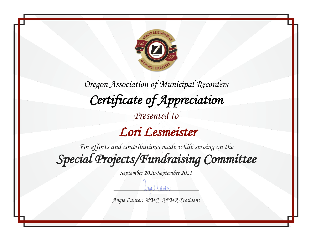

 *Lori Lesmeister* 

*For efforts and contributions made while serving on the Special Projects/Fundraising Committee* 

*September 2020-September 2021*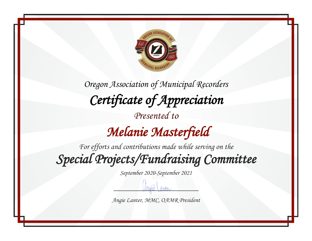

# *Melanie Masterfield*

*For efforts and contributions made while serving on the Special Projects/Fundraising Committee* 

*September 2020-September 2021*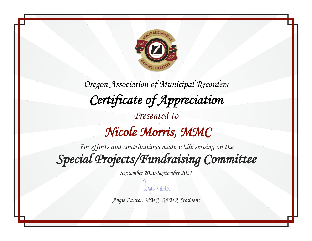

### *Nicole Morris, MMC*

*For efforts and contributions made while serving on the Special Projects/Fundraising Committee* 

*September 2020-September 2021*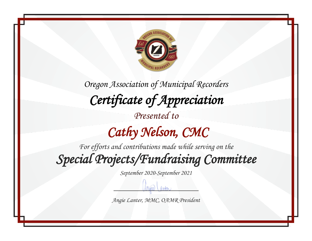

# *Cathy Nelson, CMC*

*For efforts and contributions made while serving on the Special Projects/Fundraising Committee* 

*September 2020-September 2021*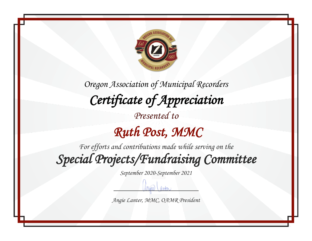

### *Ruth Post, MMC*

*For efforts and contributions made while serving on the Special Projects/Fundraising Committee* 

*September 2020-September 2021*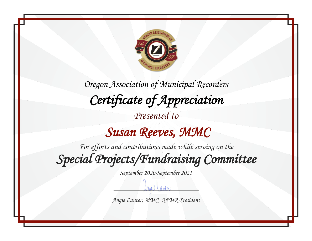

#### *Susan Reeves, MMC*

*For efforts and contributions made while serving on the Special Projects/Fundraising Committee* 

*September 2020-September 2021*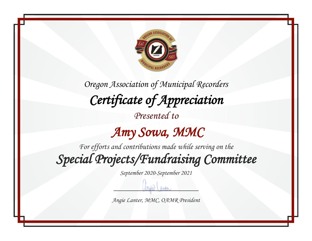

*Presented to*

#### *Amy Sowa, MMC*

*For efforts and contributions made while serving on the Special Projects/Fundraising Committee* 

*September 2020-September 2021*